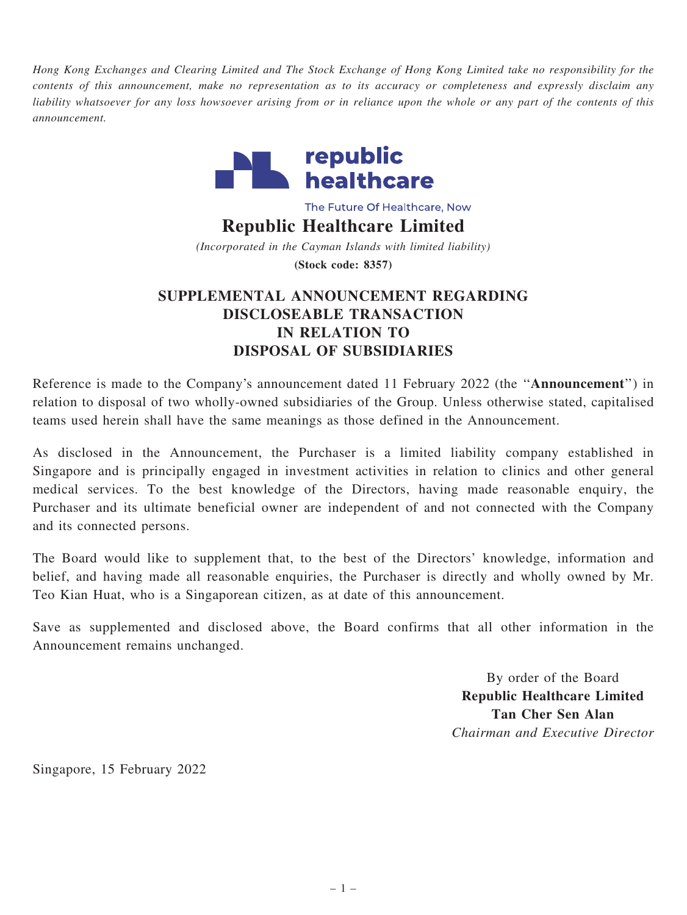Hong Kong Exchanges and Clearing Limited and The Stock Exchange of Hong Kong Limited take no responsibility for the contents of this announcement, make no representation as to its accuracy or completeness and expressly disclaim any liability whatsoever for any loss howsoever arising from or in reliance upon the whole or any part of the contents of this announcement.



The Future Of Healthcare, Now

## Republic Healthcare Limited

(Incorporated in the Cayman Islands with limited liability) (Stock code: 8357)

## SUPPLEMENTAL ANNOUNCEMENT REGARDING DISCLOSEABLE TRANSACTION IN RELATION TO DISPOSAL OF SUBSIDIARIES

Reference is made to the Company's announcement dated 11 February 2022 (the ''Announcement'') in relation to disposal of two wholly-owned subsidiaries of the Group. Unless otherwise stated, capitalised teams used herein shall have the same meanings as those defined in the Announcement.

As disclosed in the Announcement, the Purchaser is a limited liability company established in Singapore and is principally engaged in investment activities in relation to clinics and other general medical services. To the best knowledge of the Directors, having made reasonable enquiry, the Purchaser and its ultimate beneficial owner are independent of and not connected with the Company and its connected persons.

The Board would like to supplement that, to the best of the Directors' knowledge, information and belief, and having made all reasonable enquiries, the Purchaser is directly and wholly owned by Mr. Teo Kian Huat, who is a Singaporean citizen, as at date of this announcement.

Save as supplemented and disclosed above, the Board confirms that all other information in the Announcement remains unchanged.

> By order of the Board Republic Healthcare Limited Tan Cher Sen Alan Chairman and Executive Director

Singapore, 15 February 2022